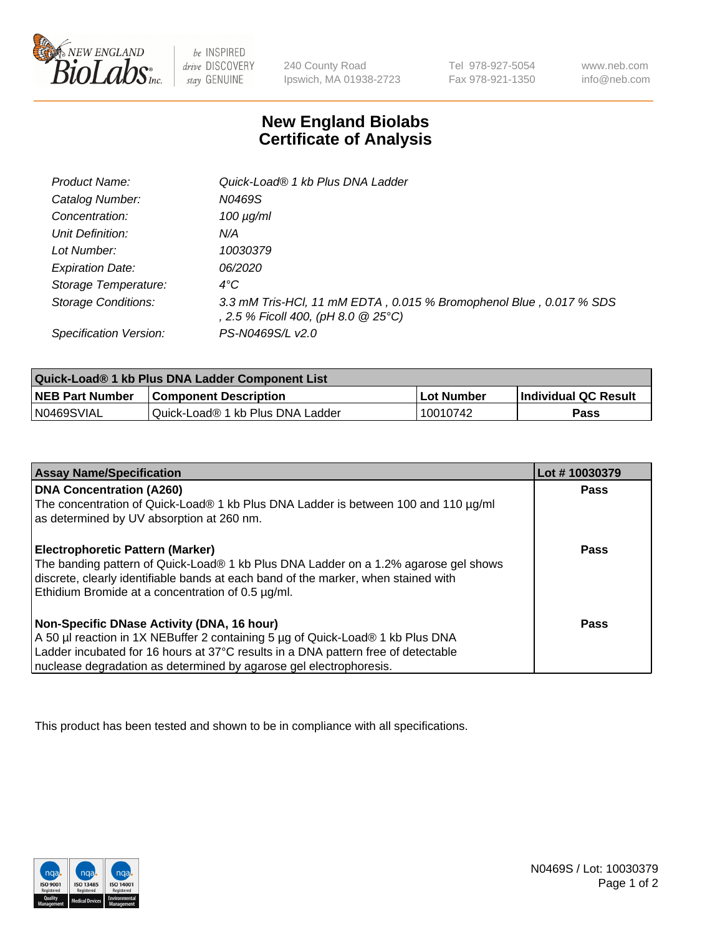

 $be$  INSPIRED drive DISCOVERY stay GENUINE

240 County Road Ipswich, MA 01938-2723 Tel 978-927-5054 Fax 978-921-1350 www.neb.com info@neb.com

## **New England Biolabs Certificate of Analysis**

| Product Name:              | Quick-Load® 1 kb Plus DNA Ladder                                                                          |
|----------------------------|-----------------------------------------------------------------------------------------------------------|
| Catalog Number:            | N0469S                                                                                                    |
| Concentration:             | $100 \mu g/ml$                                                                                            |
| Unit Definition:           | N/A                                                                                                       |
| Lot Number:                | 10030379                                                                                                  |
| <b>Expiration Date:</b>    | <i>06/2020</i>                                                                                            |
| Storage Temperature:       | $4^{\circ}C$                                                                                              |
| <b>Storage Conditions:</b> | 3.3 mM Tris-HCl, 11 mM EDTA, 0.015 % Bromophenol Blue, 0.017 % SDS<br>, 2.5 % Ficoll 400, (pH 8.0 @ 25°C) |
| Specification Version:     | PS-N0469S/L v2.0                                                                                          |

| Quick-Load® 1 kb Plus DNA Ladder Component List |                                  |            |                             |  |
|-------------------------------------------------|----------------------------------|------------|-----------------------------|--|
| <b>NEB Part Number</b>                          | <b>Component Description</b>     | Lot Number | <b>Individual QC Result</b> |  |
| N0469SVIAL                                      | Quick-Load® 1 kb Plus DNA Ladder | 10010742   | Pass                        |  |

| <b>Assay Name/Specification</b>                                                                                                                                                                                                                                                         | Lot #10030379 |
|-----------------------------------------------------------------------------------------------------------------------------------------------------------------------------------------------------------------------------------------------------------------------------------------|---------------|
| <b>DNA Concentration (A260)</b><br>The concentration of Quick-Load® 1 kb Plus DNA Ladder is between 100 and 110 µg/ml<br>as determined by UV absorption at 260 nm.                                                                                                                      | <b>Pass</b>   |
| <b>Electrophoretic Pattern (Marker)</b><br>The banding pattern of Quick-Load® 1 kb Plus DNA Ladder on a 1.2% agarose gel shows<br>discrete, clearly identifiable bands at each band of the marker, when stained with<br>Ethidium Bromide at a concentration of 0.5 µg/ml.               | Pass          |
| Non-Specific DNase Activity (DNA, 16 hour)<br>A 50 µl reaction in 1X NEBuffer 2 containing 5 µg of Quick-Load® 1 kb Plus DNA<br>Ladder incubated for 16 hours at 37°C results in a DNA pattern free of detectable<br>nuclease degradation as determined by agarose gel electrophoresis. | Pass          |

This product has been tested and shown to be in compliance with all specifications.